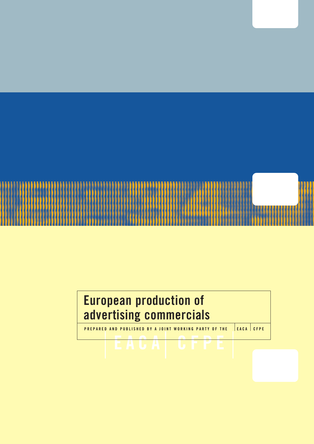

## **European production of advertising commercials**

**PREPARED AND PUBLISHED BY A JOINT WORKING PARTY OF THE EACA CFPE**

**EACA CFPE**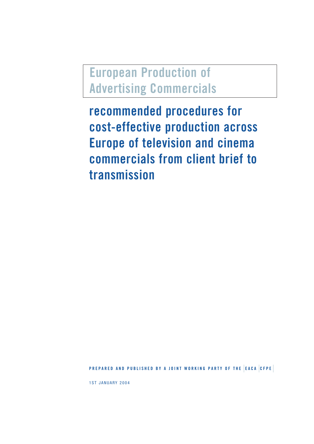**European Production of Advertising Commercials**

**recommended procedures for cost-effective production across Europe of television and cinema commercials from client brief to transmission**

**PREPARED AND PUBLISHED BY A JOINT WORKING PARTY OF THE EACA CFPE**

1ST JANUARY 2004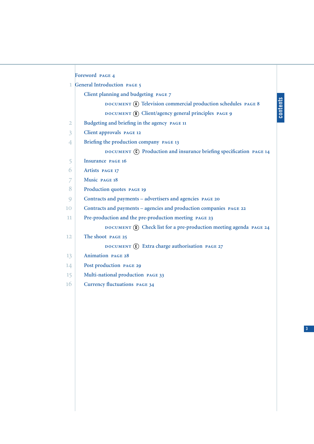|                | Foreword PAGE 4                                                       |          |
|----------------|-----------------------------------------------------------------------|----------|
|                | 1 General Introduction PAGE 5                                         |          |
|                | Client planning and budgeting PAGE 7                                  |          |
|                | DOCUMENT (A) Television commercial production schedules PAGE 8        |          |
|                | DOCUMENT (B) Client/agency general principles PAGE 9                  | contents |
| $\overline{2}$ | Budgeting and briefing in the agency PAGE 11                          |          |
| 3              | Client approvals PAGE 12                                              |          |
| 4              | Briefing the production company PAGE 13                               |          |
|                | DOCUMENT (C) Production and insurance briefing specification PAGE 14  |          |
| 5              | <b>Insurance PAGE 16</b>                                              |          |
| 6              | <b>Artists PAGE 17</b>                                                |          |
| 7              | Music PAGE 18                                                         |          |
| 8              | Production quotes PAGE 19                                             |          |
| 9              | Contracts and payments - advertisers and agencies PAGE 20             |          |
| 10             | Contracts and payments - agencies and production companies PAGE 22    |          |
| 11.            | Pre-production and the pre-production meeting PAGE 23                 |          |
|                | DOCUMENT (D) Check list for a pre-production meeting agenda PAGE 24   |          |
| 12             | The shoot PAGE 25                                                     |          |
|                | DOCUMENT $\left(\mathbf{E}\right)$ Extra charge authorisation PAGE 27 |          |
| 13             | <b>Animation PAGE 28</b>                                              |          |
| 14             | Post production PAGE 29                                               |          |
| 15             | Multi-national production PAGE 33                                     |          |
| 16             | <b>Currency fluctuations PAGE 34</b>                                  |          |
|                |                                                                       |          |

**3**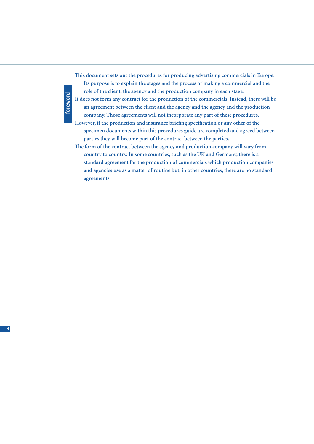# **foreword**

**This document sets out the procedures for producing advertising commercials in Europe. Its purpose is to explain the stages and the process of making a commercial and the role of the client, the agency and the production company in each stage.**

**It does not form any contract for the production of the commercials. Instead, there will be an agreement between the client and the agency and the agency and the production company. Those agreements will not incorporate any part of these procedures.**

**However, if the production and insurance briefing specification or any other of the specimen documents within this procedures guide are completed and agreed between parties they will become part of the contract between the parties.**

**The form of the contract between the agency and production company will vary from country to country. In some countries, such as the UK and Germany, there is a standard agreement for the production of commercials which production companies and agencies use as a matter of routine but, in other countries, there are no standard agreements.**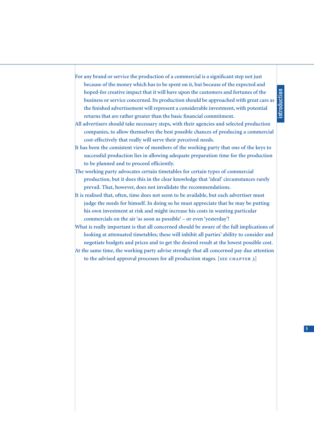- **For any brand or service the production of a commercial is a significant step not just because of the money which has to be spent on it, but because of the expected and hoped-for creative impact that it will have upon the customers and fortunes of the business or service concerned. Its production should be approached with great care as the finished advertisement will represent a considerable investment, with potential returns that are rather greater than the basic financial commitment.**
- **All advertisers should take necessary steps, with their agencies and selected production companies, to allow themselves the best possible chances of producing a commercial cost-effectively that really will serve their perceived needs.**
- **It has been the consistent view of members of the working party that one of the keys to successful production lies in allowing adequate preparation time for the production to be planned and to proceed efficiently.**
- **The working party advocates certain timetables for certain types of commercial production, but it does this in the clear knowledge that 'ideal' circumstances rarely prevail. That, however, does not invalidate the recommendations.**
- **It is realised that, often, time does not seem to be available, but each advertiser must judge the needs for himself. In doing so he must appreciate that he may be putting his own investment at risk and might increase his costs in wanting particular** commercials on the air 'as soon as possible' – or even 'yesterday'!
- **What is really important is that all concerned should be aware of the full implications of looking at attenuated timetables; these will inhibit all parties' ability to consider and negotiate budgets and prices and to get the desired result at the lowest possible cost.**
- **At the same time, the working party advise strongly that all concerned pay due attention** to the advised approval processes for all production stages. [SEE CHAPTER 3]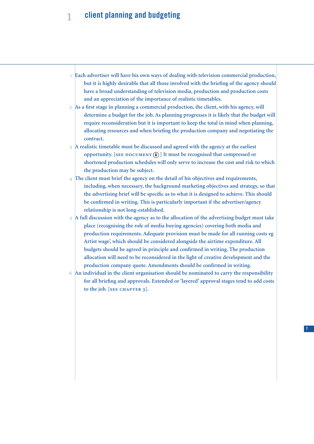### **client planning and budgeting**

- **Each advertiser will have his own ways of dealing with television commercial production, but it is highly desirable that all those involved with the briefing of the agency should have a broad understanding of television media, production and production costs and an appreciation of the importance of realistic timetables.**
- **As a first stage in planning a commercial production, the client, with his agency, will determine a budget for the job. As planning progresses it is likely that the budget will require reconsideration but it is important to keep the total in mind when planning, allocating resources and when briefing the production company and negotiating the contract.**
- **A realistic timetable must be discussed and agreed with the agency at the earliest opportunity.** [SEE DOCUMENT (A)] It must be recognised that compressed or **shortened production schedules will only serve to increase the cost and risk to which the production may be subject.**
- **The client must brief the agency on the detail of his objectives and requirements, including, when necessary, the background marketing objectives and strategy, so that the advertising brief will be specific as to what it is designed to achieve. This should be confirmed in writing. This is particularly important if the advertiser/agency relationship is not long-established.**
- **A full discussion with the agency as to the allocation of the advertising budget must take place (recognising the role of media buying agencies) covering both media and production requirements. Adequate provision must be made for all running costs eg Artist wage', which should be considered alongside the airtime expenditure. All budgets should be agreed in principle and confirmed in writing. The production allocation will need to be reconsidered in the light of creative development and the production company quote. Amendments should be confirmed in writing.**
- **An individual in the client organisation should be nominated to carry the responsibility for all briefing and approvals. Extended or 'layered' approval stages tend to add costs**  $\text{to the job.}$  [ $\text{SE}$  CHAPTER 3].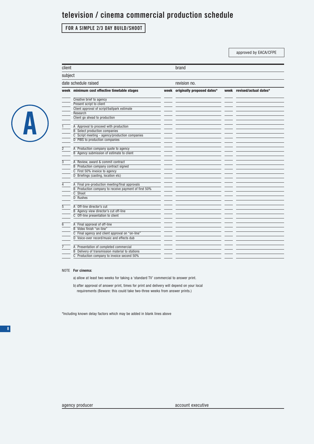### **television / cinema commercial production schedule**

### **FOR A SIMPLE 2/3 DAY BUILD/SHOOT**

client brand brand brand brand brand brand brand brand brand brand brand brand brand brand brand brand brand b

approved by EACA/CFPE



| subject              |                                                      |  |                                 |  |                            |  |
|----------------------|------------------------------------------------------|--|---------------------------------|--|----------------------------|--|
| date schedule raised |                                                      |  | revision no.                    |  |                            |  |
|                      | week minimum cost effective timetable stages         |  | week originally proposed dates* |  | week revised/actual dates* |  |
|                      | Creative brief to agency                             |  |                                 |  |                            |  |
|                      | Present script to client                             |  |                                 |  |                            |  |
|                      | Client approval of script/ballpark estimate          |  |                                 |  |                            |  |
|                      | Research                                             |  |                                 |  |                            |  |
|                      | Client go ahead to production                        |  |                                 |  |                            |  |
| $\mathbf{1}$         | A Approval to proceed with production                |  |                                 |  |                            |  |
|                      | <b>B</b> Select production companies                 |  |                                 |  |                            |  |
|                      | C Script meeting - agency/production companies       |  |                                 |  |                            |  |
|                      | D PIBS to production companies                       |  |                                 |  |                            |  |
| $\overline{2}$       | A Production company quote to agency                 |  |                                 |  |                            |  |
|                      | B Agency submission of estimate to client            |  |                                 |  |                            |  |
|                      |                                                      |  |                                 |  |                            |  |
| $\overline{3}$       | A Review, award & commit contract                    |  |                                 |  |                            |  |
|                      | <b>B</b> Production company contract signed          |  |                                 |  |                            |  |
|                      | C First 50% invoice to agency                        |  |                                 |  |                            |  |
|                      | D Briefings (casting, location etc)                  |  |                                 |  |                            |  |
| 4                    | A Final pre-production meeting/final approvals       |  |                                 |  |                            |  |
|                      | B Production company to receive payment of first 50% |  |                                 |  |                            |  |
|                      | $\overline{C}$ Shoot                                 |  |                                 |  |                            |  |
|                      | D Rushes                                             |  |                                 |  |                            |  |
|                      |                                                      |  |                                 |  |                            |  |
| 5                    | A Off-line director's cut                            |  |                                 |  |                            |  |
|                      | B Agency view director's cut off-line                |  |                                 |  |                            |  |
|                      | C Off-line presentation to client                    |  |                                 |  |                            |  |
| 6                    | A Final approval of off-line                         |  |                                 |  |                            |  |
|                      | B Video finish "on-line"                             |  |                                 |  |                            |  |
|                      | C Final agency and client approval on "on-line"      |  |                                 |  |                            |  |
|                      | D Voice-over record/music and effects dub            |  |                                 |  |                            |  |
|                      |                                                      |  |                                 |  |                            |  |
|                      | A Presentation of completed commercial               |  |                                 |  |                            |  |
|                      | B Delivery of transmission material to stations      |  |                                 |  |                            |  |
|                      | C Production company to invoice second 50%           |  |                                 |  |                            |  |
|                      |                                                      |  |                                 |  |                            |  |

#### NOTE **For cinema:**

a) allow at least two weeks for taking a 'standard TV' commercial to answer print.

b) after approval of answer print, times for print and delivery will depend on your local requirements (Beware: this could take two-three weeks from answer prints.)

\*Including known delay factors which may be added in blank Iines above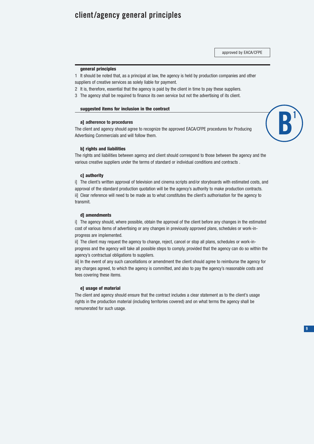### **client/agency general principles**

approved by EACA/CFPE

#### **general principles**

1 It should be noted that, as a principal at law, the agency is held by production companies and other

- suppliers of creative services as solely liable for payment.
- 2 It is, therefore, essential that the agency is paid by the client in time to pay these suppliers.
- 3 The agency shall be required to finance its own service but not the advertising of its client.

#### **suggested items for inclusion in the contract**

#### **a] adherence to procedures**

The client and agency should agree to recognize the approved EACA/CFPE procedures for Producing Advertising Commercials and will follow them.



#### **b] rights and liabilities**

The rights and liabilities between agency and client should correspond to those between the agency and the various creative suppliers under the terms of standard or individual conditions and contracts .

#### **c] authority**

i] The client's written approval of television and cinema scripts and/or storyboards with estimated costs, and approval of the standard production quotation will be the agency's authority to make production contracts. ii] Clear reference will need to be made as to what constitutes the client's authorisation for the agency to transmit.

#### **d] amendments**

i] The agency should, where possible, obtain the approval of the client before any changes in the estimated cost of various items of advertising or any changes in previously approved plans, schedules or work-inprogress are implemented.

ii] The client may request the agency to change, reject, cancel or stop all plans, schedules or work-inprogress and the agency will take all possible steps to comply, provided that the agency can do so within the agency's contractual obligations to suppliers.

iii] In the event of any such cancellations or amendment the client should agree to reimburse the agency for any charges agreed, to which the agency is committed, and also to pay the agency's reasonable costs and fees covering these items.

#### **e] usage of material**

The client and agency should ensure that the contract includes a clear statement as to the client's usage rights in the production material (including territories covered) and on what terms the agency shall be remunerated for such usage.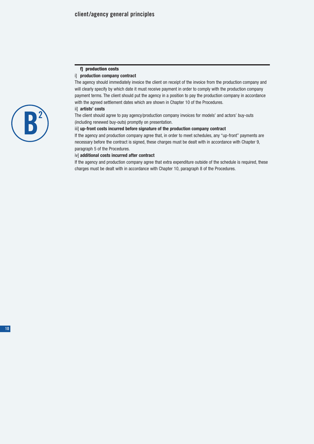#### **f] production costs**

#### i] **production company contract**

The agency should immediately invoice the client on receipt of the invoice from the production company and will clearly specify by which date it must receive payment in order to comply with the production company payment terms. The client should put the agency in a position to pay the production company in accordance with the agreed settlement dates which are shown in Chapter 10 of the Procedures.

#### ii] **artists' costs**

The client should agree to pay agency/production company invoices for models' and actors' buy-outs (including renewed buy-outs) promptly on presentation.

#### iii] **up-front costs incurred before signature of the production company contract**

If the agency and production company agree that, in order to meet schedules, any "up-front" payments are necessary before the contract is signed, these charges must be dealt with in accordance with Chapter 9, paragraph 5 of the Procedures.

#### iv] **additional costs incurred after contract**

If the agency and production company agree that extra expenditure outside of the schedule is required, these charges must be dealt with in accordance with Chapter 10, paragraph 8 of the Procedures.

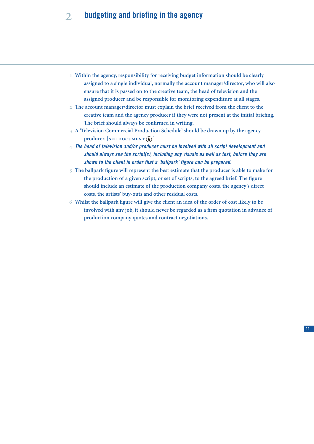### **budgeting and briefing in the agency**

- **Within the agency, responsibility for receiving budget information should be clearly assigned to a single individual, normally the account manager/director, who will also ensure that it is passed on to the creative team, the head of television and the assigned producer and be responsible for monitoring expenditure at all stages.**
- **The account manager/director must explain the brief received from the client to the creative team and the agency producer if they were not present at the initial briefing. The brief should always be confirmed in writing.**
- **A 'Television Commercial Production Schedule' should be drawn up by the agency**  $\mathbf{p}$  **producer.** [SEE DOCUMENT  $\widehat{A}$ ]
- *The head of television and/or producer must be involved with all script development and should always see the script(s), including any visuals as well as text, before they are shown to the client in order that a 'ballpark' figure can be prepared.*
- **The ballpark figure will represent the best estimate that the producer is able to make for the production of a given script, or set of scripts, to the agreed brief. The figure should include an estimate of the production company costs, the agency's direct costs, the artists' buy-outs and other residual costs.**
- **Whilst the ballpark figure will give the client an idea of the order of cost likely to be involved with any job, it should never be regarded as a firm quotation in advance of production company quotes and contract negotiations.**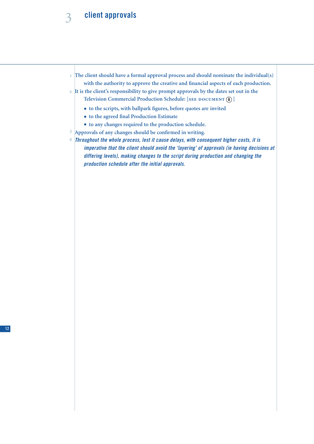### **client approvals**

- **The client should have a formal approval process and should nominate the individual(s) with the authority to approve the creative and financial aspects of each production.**
- **It is the client's responsibility to give prompt approvals by the dates set out in the**
	- $\text{Televation}\text{ Commercial Production}$  Schedule: [SEE DOCUMENT (A)]
		- **to the scripts, with ballpark figures, before quotes are invited**
		- **to the agreed final Production Estimate**
		- **to any changes required to the production schedule.**
- **Approvals of any changes should be confirmed in writing.**
- *Throughout the whole process, lest it cause delays, with consequent higher costs, it is imperative that the client should avoid the 'layering' of approvals (ie having decisions at differing levels), making changes to the script during production and changing the production schedule after the initial approvals.*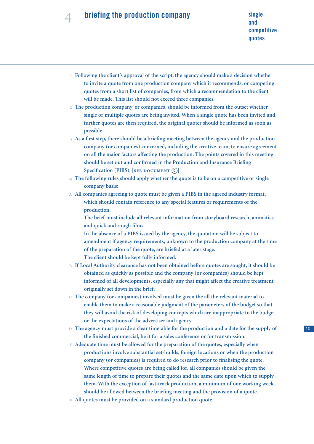# 4 **briefing the production company** single single

- **Following the client's approval of the script, the agency should make a decision whether to invite a quote from one production company which it recommends, or competing quotes from a short list of companies, from which a recommendation to the client will be made. This list should not exceed three companies.**
- **The production company, or companies, should be informed from the outset whether single or multiple quotes are being invited. When a single quote has been invited and further quotes are then required, the original quoter should be informed as soon as possible.**
- **As a first step, there should be a briefing meeting between the agency and the production company (or companies) concerned, including the creative team, to ensure agreement on all the major factors affecting the production. The points covered in this meeting should be set out and confirmed in the Production and Insurance Briefing** Specification (PIBS). [SEE DOCUMENT  $\Omega$ ]
- **The following rules should apply whether the quote is to be on a competitive or single company basis:**
- **All companies agreeing to quote must be given a PIBS in the agreed industry format, which should contain reference to any special features or requirements of the production.**
	- **The brief must include all relevant information from storyboard research, animatics and quick and rough films.**
	- **In the absence of a PIBS issued by the agency, the quotation will be subject to amendment if agency requirements, unknown to the production company at the time of the preparation of the quote, are briefed at a later stage. The client should be kept fully informed.**
- **If Local Authority clearance has not been obtained before quotes are sought, it should be obtained as quickly as possible and the company (or companies) should be kept informed of all developments, especially any that might affect the creative treatment originally set down in the brief.**
- **The company (or companies) involved must be given the all the relevant material to enable them to make a reasonable judgment of the parameters of the budget so that they will avoid the risk of developing concepts which are inappropriate to the budget or the expectations of the advertiser and agency.**
- **The agency must provide a clear timetable for the production and a date for the supply of the finished commercial, be it for a sales conference or for transmission.**
- **Adequate time must be allowed for the preparation of the quotes, especially when productions involve substantial set-builds, foreign locations or when the production company (or companies) is required to do research prior to finalising the quote. Where competitive quotes are being called for, all companies should be given the same length of time to prepare their quotes and the same date upon which to supply them. With the exception of fast-track production, a minimum of one working week should be allowed between the briefing meeting and the provision of a quote.**
- **All quotes must be provided on a standard production quote.**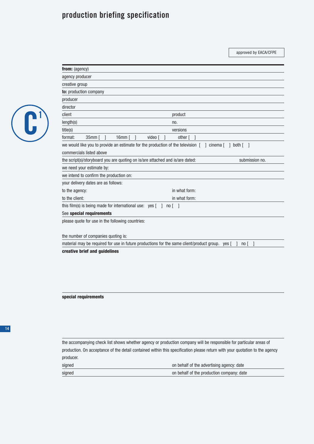### **production briefing specification**

**from:** (agency)

approved by EACA/CFPE

| N |
|---|
|   |
|   |

| <b>from:</b> (agency)                                                                             |                           |
|---------------------------------------------------------------------------------------------------|---------------------------|
| agency producer                                                                                   |                           |
| creative group                                                                                    |                           |
| to: production company                                                                            |                           |
| producer                                                                                          |                           |
| director                                                                                          |                           |
| client                                                                                            | product                   |
| length(s)                                                                                         | no.                       |
| title(s)                                                                                          | versions                  |
| format:<br>$35mm$ $\vert$ $\vert$<br>$16mm$ [ ]<br>video [                                        | $other$ $\lceil$ $\rceil$ |
| we would like you to provide an estimate for the production of the television $\lceil$ ] cinema [ | $\mathbf{1}$<br>both [    |
| commercials listed above                                                                          |                           |
| the script(s)/storyboard you are quoting on is/are attached and is/are dated:                     | submission no.            |
| we need your estimate by:                                                                         |                           |
| we intend to confirm the production on:                                                           |                           |
| your delivery dates are as follows:                                                               |                           |
| to the agency:                                                                                    | in what form:             |
| to the client:                                                                                    | in what form:             |
| this film(s) is being made for international use: $yes [ ] no [ ]$                                |                           |
| See special requirements                                                                          |                           |
| please quote for use in the following countries:                                                  |                           |
|                                                                                                   |                           |
| the number of companies quoting io:                                                               |                           |

the number of companies quoting is:

material may be required for use in future productions for the same client/product group. yes [ ] no [ ]

**creative brief and guidelines**

**special requirements**

the accompanying check list shows whether agency or production company will be responsible for particular areas of production. On acceptance of the detail contained within this specification please return with your quotation to the agency producer.

| signed | on behalf of the advertising agency: date |
|--------|-------------------------------------------|
| signed | on behalf of the production company: date |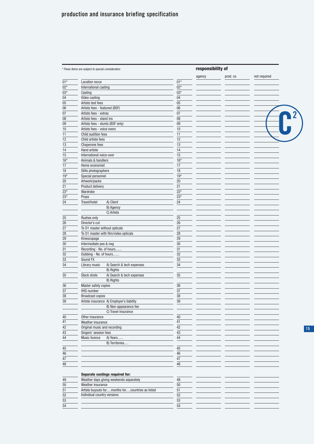| * These items are subject to special consideration                         |            | responsibility of |          |              |
|----------------------------------------------------------------------------|------------|-------------------|----------|--------------|
|                                                                            |            | agency            | prod. co | not required |
| Location recce                                                             | $01*$      |                   |          |              |
| International casting                                                      | $02*$      |                   |          |              |
| Casting                                                                    | $03*$      |                   |          |              |
| Video casting                                                              | 04         |                   |          |              |
| Artists test fees                                                          | 05         |                   |          |              |
| Artists fees - featured (BSF)                                              | 06         |                   |          |              |
| Artists fees - extras                                                      | 07         |                   |          |              |
| Artists fees - stand ins                                                   | 08         |                   |          |              |
| Artists fees - stunts (BSF only)                                           | 09         |                   |          |              |
| Artists fees - voice overs                                                 | 10         |                   |          |              |
| Child audition fees                                                        | 11         |                   |          |              |
| Child artiste fees                                                         | 12         |                   |          |              |
| Chaperone fees                                                             | 13         |                   |          |              |
| Hand artiste                                                               | 14         |                   |          |              |
| International voice-over                                                   | 15         |                   |          |              |
| Animals & handlers                                                         | $16*$      |                   |          |              |
| Home economist                                                             | 17         |                   |          |              |
| Stills photographers                                                       | 18         |                   |          |              |
| Special personnel                                                          | $19*$      |                   |          |              |
| Artwork/packs                                                              | 20         |                   |          |              |
| Product delivery                                                           | 21         |                   |          |              |
| Wardrobe                                                                   | $22*$      |                   |          |              |
| Props                                                                      | $23*$      |                   |          |              |
| A) Client<br>Travel/hotel                                                  | 24         |                   |          |              |
|                                                                            |            |                   |          |              |
| B) Agency                                                                  |            |                   |          |              |
| C) Artists                                                                 |            |                   |          |              |
| Rushes only                                                                | 25         |                   |          |              |
| Director's cut                                                             | 26         |                   |          |              |
| To D1 master without opticals                                              | 27         |                   |          |              |
| To D1 master with film/video opticals                                      | 28         |                   |          |              |
| Kinescopage                                                                | 29         |                   |          |              |
| Intermediate pos & neg                                                     | 30         |                   |          |              |
| Recording - No. of hours                                                   | 31         |                   |          |              |
| Dubbing - No. of hours                                                     | 32         |                   |          |              |
| Sound FX                                                                   | 33         |                   |          |              |
| Library music<br>A) Search & tech expenses                                 | 34         |                   |          |              |
| B) Rights                                                                  |            |                   |          |              |
| Stock shots<br>A) Search & tech expenses                                   | 35         |                   |          |              |
| B) Rights                                                                  |            |                   |          |              |
| Master safety copies                                                       | 36         |                   |          |              |
| <b>VHS number</b>                                                          | 37         |                   |          |              |
| <b>Broadcast copies</b>                                                    | 38         |                   |          |              |
| Artiste insurance A) Employer's liability                                  | 39         |                   |          |              |
| B) Non-appearance fee                                                      |            |                   |          |              |
| C) Travel insurance                                                        |            |                   |          |              |
| Other insurance                                                            | 40         |                   |          |              |
| Weather insurance                                                          | 41         |                   |          |              |
| Original music and recording                                               | 42         |                   |          |              |
| Singers' session fees                                                      | 43         |                   |          |              |
|                                                                            |            |                   |          |              |
| Music licence<br>A) Years                                                  | $44\,$     |                   |          |              |
| B) Territories                                                             |            |                   |          |              |
|                                                                            | 45         |                   |          |              |
|                                                                            | 46         |                   |          |              |
|                                                                            | $47\,$     |                   |          |              |
|                                                                            | 48         |                   |          |              |
|                                                                            |            |                   |          |              |
| Separate costings required for:<br>Weather days giving weekends separately | 49         |                   |          |              |
|                                                                            |            |                   |          |              |
| Weather insurance                                                          | $50\,$     |                   |          |              |
| Artists buyouts formonths forcountries as listed                           | 51         |                   |          |              |
| Individual country versions                                                | 52         |                   |          |              |
|                                                                            | ${\bf 53}$ |                   |          |              |
|                                                                            | 54         |                   |          |              |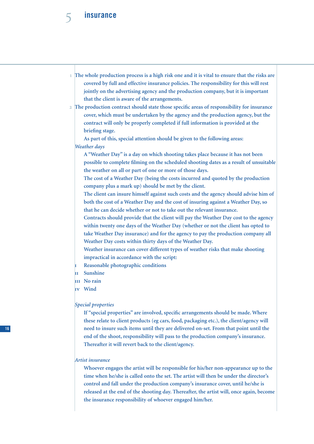

- **The whole production process is a high risk one and it is vital to ensure that the risks are covered by full and effective insurance policies. The responsibility for this will rest jointly on the advertising agency and the production company, but it is important that the client is aware of the arrangements.**
- **The production contract should state those specific areas of responsibility for insurance cover, which must be undertaken by the agency and the production agency, but the contract will only be properly completed if full information is provided at the briefing stage.**

**As part of this, special attention should be given to the following areas:** *Weather days* 

**A "Weather Day" is a day on which shooting takes place because it has not been possible to complete filming on the scheduled shooting dates as a result of unsuitable the weather on all or part of one or more of those days.**

**The cost of a Weather Day (being the costs incurred and quoted by the production company plus a mark up) should be met by the client.**

**The client can insure himself against such costs and the agency should advise him of both the cost of a Weather Day and the cost of insuring against a Weather Day, so that he can decide whether or not to take out the relevant insurance.**

**Contracts should provide that the client will pay the Weather Day cost to the agency within twenty one days of the Weather Day (whether or not the client has opted to take Weather Day insurance) and for the agency to pay the production company all Weather Day costs within thirty days of the Weather Day.**

**Weather insurance can cover different types of weather risks that make shooting impractical in accordance with the script:**

- **Reasonable photographic conditions**
- **Sunshine**
- **No rain**
- **Wind**

#### *Special properties*

**If "special properties" are involved, specific arrangements should be made. Where these relate to client products (eg cars, food, packaging etc.), the client/agency will need to insure such items until they are delivered on-set. From that point until the end of the shoot, responsibility will pass to the production company's insurance. Thereafter it will revert back to the client/agency.**

### *Artist insurance*

**Whoever engages the artist will be responsible for his/her non-appearance up to the time when he/she is called onto the set. The artist will then be under the director's control and fall under the production company's insurance cover, until he/she is released at the end of the shooting day. Thereafter, the artist will, once again, become the insurance responsibility of whoever engaged him/her.**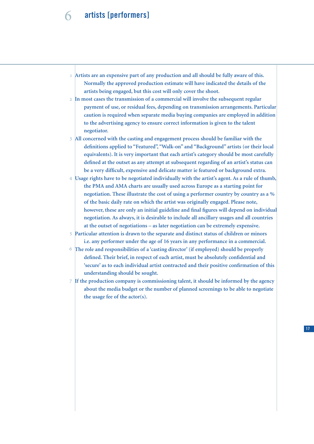### **artists [performers]**

- **Artists are an expensive part of any production and all should be fully aware of this. Normally the approved production estimate will have indicated the details of the artists being engaged, but this cost will only cover the shoot.**
- **In most cases the transmission of a commercial will involve the subsequent regular payment of use, or residual fees, depending on transmission arrangements. Particular caution is required when separate media buying companies are employed in addition to the advertising agency to ensure correct information is given to the talent negotiator.**
- **All concerned with the casting and engagement process should be familiar with the definitions applied to "Featured", "Walk-on" and "Background" artists (or their local equivalents). It is very important that each artist's category should be most carefully defined at the outset as any attempt at subsequent regarding of an artist's status can be a very difficult, expensive and delicate matter ie featured or background extra.**
- **Usage rights have to be negotiated individually with the artist's agent. As a rule of thumb, the PMA and AMA charts are usually used across Europe as a starting point for negotiation. These illustrate the cost of using a performer country by country as a % of the basic daily rate on which the artist was originally engaged. Please note, however, these are only an initial guideline and final figures will depend on individual negotiation. As always, it is desirable to include all ancillary usages and all countries at the outset of negotiations – as later negotiation can be extremely expensive.**
- **Particular attention is drawn to the separate and distinct status of children or minors i.e. any performer under the age of 16 years in any performance in a commercial.**
- **The role and responsibilities of a 'casting director' (if employed) should be properly defined. Their brief, in respect of each artist, must be absolutely confidential and 'secure' as to each individual artist contracted and their positive confirmation of this understanding should be sought.**
- **If the production company is commissioning talent, it should be informed by the agency about the media budget or the number of planned screenings to be able to negotiate the usage fee of the actor(s).**

**17**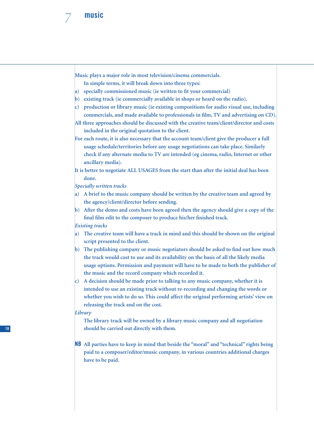

**Music plays a major role in most television/cinema commercials.**

**In simple terms, it will break down into three types:**

- **a) specially commissioned music (ie written to fit your commercial)**
- **b) existing track (ie commercially available in shops or heard on the radio).**
- **c) production or library music (ie existing compositions for audio visual use, including commercials, and made available to professionals in film, TV and advertising on CD).**
- **All three approaches should be discussed with the creative team/client/director and costs included in the original quotation to the client.**
- **For each route, it is also necessary that the account team/client give the producer a full usage schedule/territories before any usage negotiations can take place. Similarly check if any alternate media to TV are intended (eg cinema, radio, Internet or other ancillary media).**
- **It is better to negotiate ALL USAGES from the start than after the initial deal has been done.**

*Specially written tracks*

- **a) A brief to the music company should be written by the creative team and agreed by the agency/client/director before sending.**
- **b) After the demo and costs have been agreed then the agency should give a copy of the final film edit to the composer to produce his/her finished track.** *Existing tracks*
- **a) The creative team will have a track in mind and this should be shown on the original script presented to the client.**
- **b) The publishing company or music negotiators should be asked to find out how much the track would cost to use and its availability on the basis of all the likely media usage options. Permission and payment will have to be made to both the publisher of the music and the record company which recorded it.**
- **c) A decision should be made prior to talking to any music company, whether it is intended to use an existing track without re-recording and changing the words or whether you wish to do so. This could affect the original performing artists' view on releasing the track and on the cost.**

*Library*

**The library track will be owned by a library music company and all negotiation should be carried out directly with them.**

**NB All parties have to keep in mind that beside the "moral" and "technical" rights being paid to a composer/editor/music company, in various countries additional charges have to be paid.**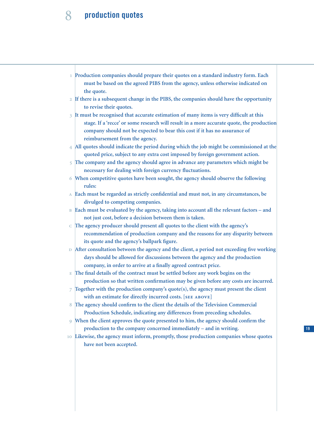### **production quotes**

- **Production companies should prepare their quotes on a standard industry form. Each must be based on the agreed PIBS from the agency, unless otherwise indicated on the quote.**
- **If there is a subsequent change in the PIBS, the companies should have the opportunity to revise their quotes.**
- **It must be recognised that accurate estimation of many items is very difficult at this stage. If a 'recce' or some research will result in a more accurate quote, the production company should not be expected to bear this cost if it has no assurance of reimbursement from the agency.**
- **All quotes should indicate the period during which the job might be commissioned at the quoted price, subject to any extra cost imposed by foreign government action.**
- **The company and the agency should agree in advance any parameters which might be necessary for dealing with foreign currency fluctuations.**
- **When competitive quotes have been sought, the agency should observe the following rules:** 6
- **Each must be regarded as strictly confidential and must not, in any circumstances, be divulged to competing companies.**
- **Each must be evaluated by the agency, taking into account all the relevant factors and not just cost, before a decision between them is taken.**  $\overline{B}$
- **The agency producer should present all quotes to the client with the agency's recommendation of production company and the reasons for any disparity between its quote and the agency's ballpark figure.**
- **After consultation between the agency and the client, a period not exceeding five working days should be allowed for discussions between the agency and the production company, in order to arrive at a finally agreed contract price.**
- **The final details of the contract must be settled before any work begins on the production so that written confirmation may be given before any costs are incurred.**
- **Together with the production company's quote(s), the agency must present the client**  $with an estimate for directly incurred costs. [SEE ABOVE]$
- **The agency should confirm to the client the details of the Television Commercial Production Schedule, indicating any differences from preceding schedules.**  $\mathbf{R}$
- **When the client approves the quote presented to him, the agency should confirm the production to the company concerned immediately – and in writing.**  $\overline{Q}$
- **Likewise, the agency must inform, promptly, those production companies whose quotes have not been accepted.**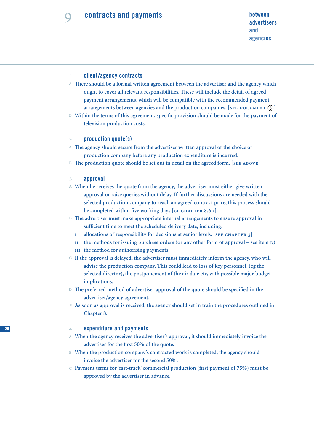### **client/agency contracts There should be a formal written agreement between the advertiser and the agency which ought to cover all relevant responsibilities. These will include the detail of agreed payment arrangements, which will be compatible with the recommended payment** arrangements between agencies and the production companies. [SEE DOCUMENT (B)] **Within the terms of this agreement, specific provision should be made for the payment of television production costs. production quote(s) The agency should secure from the advertiser written approval of the choice of production company before any production expenditure is incurred.** The production quote should be set out in detail on the agreed form. [SEE ABOVE] **approval When he receives the quote from the agency, the advertiser must either give written approval or raise queries without delay. If further discussions are needed with the selected production company to reach an agreed contract price, this process should** be completed within five working days [CF CHAPTER 8.6D]. **The advertiser must make appropriate internal arrangements to ensure approval in sufficient time to meet the scheduled delivery date, including:** allocations of responsibility for decisions at senior levels. [SEE CHAPTER 3] **the methods for issuing purchase orders (or any other form of approval – see item ) the method for authorising payments. If the approval is delayed, the advertiser must immediately inform the agency, who will advise the production company. This could lead to loss of key personnel, (eg the selected director), the postponement of the air date etc, with possible major budget implications. The preferred method of advertiser approval of the quote should be specified in the advertiser/agency agreement.**  $\mathbb{E}\left[\mathsf{As}\right.$  soon as approval is received, the agency should set in train the procedures outlined in **Chapter 8. expenditure and payments When the agency receives the advertiser's approval, it should immediately invoice the advertiser for the first 50% of the quote. When the production company's contracted work is completed, the agency should invoice the advertiser for the second 50%. Payment terms for 'fast-track' commercial production (first payment of 75%) must be approved by the advertiser in advance.** f.  $\overline{2}$  $\overline{A}$  $\overline{B}$  $\overline{3}$  $\overline{A}$  $\overline{A}$  $\overline{A}$  $\overline{\mathbf{B}}$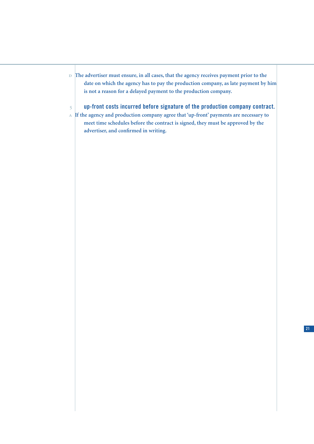- **The advertiser must ensure, in all cases, that the agency receives payment prior to the date on which the agency has to pay the production company, as late payment by him is not a reason for a delayed payment to the production company.**
	- **up-front costs incurred before signature of the production company contract.**
- **If the agency and production company agree that 'up-front' payments are necessary to meet time schedules before the contract is signed, they must be approved by the advertiser, and confirmed in writing.**

 $\overline{5}$ 

**21**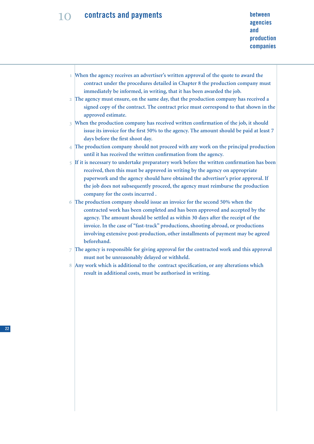# **between**<br> **agencies**<br> **between contracts and payments**

- **When the agency receives an advertiser's written approval of the quote to award the contract under the procedures detailed in Chapter 8 the production company must immediately be informed, in writing, that it has been awarded the job.**
- **The agency must ensure, on the same day, that the production company has received a signed copy of the contract. The contract price must correspond to that shown in the approved estimate.**

**When the production company has received written confirmation of the job, it should issue its invoice for the first 50% to the agency. The amount should be paid at least 7 days before the first shoot day.**

- **The production company should not proceed with any work on the principal production until it has received the written confirmation from the agency.**
- **If it is necessary to undertake preparatory work before the written confirmation has been received, then this must be approved in writing by the agency on appropriate paperwork and the agency should have obtained the advertiser's prior approval. If the job does not subsequently proceed, the agency must reimburse the production company for the costs incurred .**
- **The production company should issue an invoice for the second 50% when the contracted work has been completed and has been approved and accepted by the agency. The amount should be settled as within 30 days after the receipt of the invoice. In the case of "fast-track" productions, shooting abroad, or productions involving extensive post-production, other installments of payment may be agreed beforehand.**
- **The agency is responsible for giving approval for the contracted work and this approval must not be unreasonably delayed or withheld.**
- **Any work which is additional to the contract specification, or any alterations which result in additional costs, must be authorised in writing.**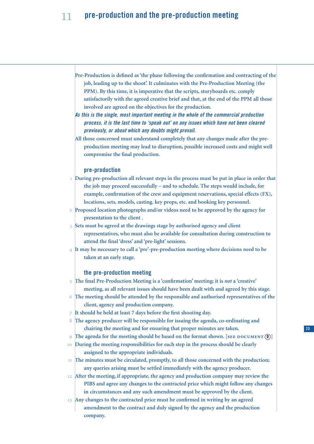### **pre-production and the pre-production meeting**

- **Pre-Production is defined as 'the phase following the confirmation and contracting of the job, leading up to the shoot'. It culminates with the Pre-Production Meeting (the PPM). By this time, it is imperative that the scripts, storyboards etc. comply satisfactorily with the agreed creative brief and that, at the end of the PPM all those involved are agreed on the objectives for the production.**
- *As this is the single, most important meeting in the whole of the commercial production process, it is the last time to 'speak out' on any issues which have not been cleared previously, or about which any doubts might prevail.*
- **All those concerned must understand completely that any changes made after the preproduction meeting may lead to disruption, possible increased costs and might well compromise the final production.**

### **pre-production**

- **During pre-production all relevant steps in the process must be put in place in order that the job may proceed successfully – and to schedule. The steps would include, for example, confirmation of the crew and equipment reservations, special effects (FX), locations, sets, models, casting. key props, etc. and booking key personnel.**
- **Proposed location photographs and/or videos need to be approved by the agency for presentation to the client .**
- **Sets must be agreed at the drawings stage by authorised agency and client representatives, who must also be available for consultation during construction to attend the final 'dress' and 'pre-light' sessions.**
- **It may be necessary to call a 'pre'-pre-production meeting where decisions need to be taken at an early stage.**

### **the pre-production meeting**

- **The final Pre-Production Meeting is a 'confirmation' meeting; it is** *not* **a 'creative' meeting, as all relevant issues should have been dealt with and agreed by this stage.**
- **The meeting should be attended by the responsible and authorised representatives of the client, agency and production company.**
- **It should be held at least 7 days before the first shooting day.**
- **The agency producer will be responsible for issuing the agenda, co-ordinating and chairing the meeting and for ensuring that proper minutes are taken.** 8
- The agenda for the meeting should be based on the format shown. [SEE DOCUMENT  $\Omega$ ]  $\overline{Q}$
- **During the meeting responsibilities for each step in the process should be clearly assigned to the appropriate individuals.**  $10$
- **The minutes must be circulated, promptly, to all those concerned with the production; any queries arising must be settled immediately with the agency producer.**
- **After the meeting, if appropriate, the agency and production company may review the PIBS and agree any changes to the contracted price which might follow any changes in circumstances and any such amendment must be approved by the client.**
- **Any changes to the contracted price must be confirmed in writing by an agreed amendment to the contract and duly signed by the agency and the production company.**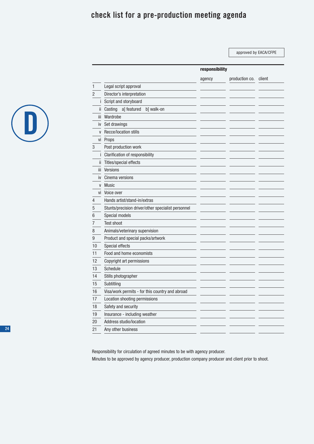### **check list for a pre-production meeting agenda**

approved by EACA/CFPE

**responsibility**



|              |                                                    | agency | production co. | client |
|--------------|----------------------------------------------------|--------|----------------|--------|
| 1            | Legal script approval                              |        |                |        |
| 2            | Director's interpretation                          |        |                |        |
| İ.           | Script and storyboard                              |        |                |        |
| ii.          | Casting<br>a] featured<br>b] walk-on               |        |                |        |
| iii.         | Wardrobe                                           |        |                |        |
| iv           | Set drawings                                       |        |                |        |
| $\mathsf{V}$ | Recce/location stills                              |        |                |        |
| vi           | Props                                              |        |                |        |
| 3            | Post production work                               |        |                |        |
| Ť            | Clarification of responsibility                    |        |                |        |
| ii           | Titles/special effects                             |        |                |        |
| iij          | <b>Versions</b>                                    |        |                |        |
| iv           | Cinema versions                                    |        |                |        |
| $\mathsf{V}$ | <b>Music</b>                                       |        |                |        |
| ٧i           | Voice over                                         |        |                |        |
| 4            | Hands artist/stand-in/extras                       |        |                |        |
| 5            | Stunts/precision driver/other specialist personnel |        |                |        |
| 6            | Special models                                     |        |                |        |
| 7            | Test shoot                                         |        |                |        |
| 8            | Animals/veterinary supervision                     |        |                |        |
| 9            | Product and special packs/artwork                  |        |                |        |
| 10           | Special effects                                    |        |                |        |
| 11           | Food and home economists                           |        |                |        |
| 12           | Copyright art permissions                          |        |                |        |
| 13           | Schedule                                           |        |                |        |
| 14           | Stills photographer                                |        |                |        |
| 15           | Subtitling                                         |        |                |        |
| 16           | Visa/work permits - for this country and abroad    |        |                |        |
| 17           | Location shooting permissions                      |        |                |        |
| 18           | Safety and security                                |        |                |        |
| 19           | Insurance - including weather                      |        |                |        |
| 20           | Address studio/location                            |        |                |        |
| 21           | Any other business                                 |        |                |        |

Responsibility for circulation of agreed minutes to be with agency producer.

Minutes to be approved by agency producer, production company producer and client prior to shoot.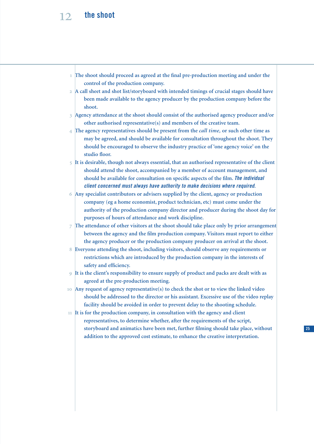### **the shoot**

- **The shoot should proceed as agreed at the final pre-production meeting and under the control of the production company.**
- **A call sheet and shot list/storyboard with intended timings of crucial stages should have been made available to the agency producer by the production company before the shoot.**
- **Agency attendance at the shoot should consist of the authorised agency producer and/or other authorised representative(s) and members of the creative team.**
- **The agency representatives should be present from the** *call time,* **or such other time as may be agreed, and should be available for consultation throughout the shoot. They should be encouraged to observe the industry practice of 'one agency voice' on the studio floor.**
- **It is desirable, though not always essential, that an authorised representative of the client should attend the shoot, accompanied by a member of account management, and should be available for consultation on specific aspects of the film.** *The individual client concerned must always have authority to make decisions where required.*
- **Any specialist contributors or advisers supplied by the client, agency or production company (eg a home economist, product technician, etc) must come under the authority of the production company director and producer during the shoot day for purposes of hours of attendance and work discipline.**
- **The attendance of other visitors at the shoot should take place only by prior arrangement between the agency and the film production company. Visitors must report to either the agency producer or the production company producer on arrival at the shoot.**
- **Everyone attending the shoot, including visitors, should observe any requirements or restrictions which are introduced by the production company in the interests of safety and efficiency.**
- **It is the client's responsibility to ensure supply of product and packs are dealt with as agreed at the pre-production meeting.**
- **Any request of agency representative(s) to check the shot or to view the linked video should be addressed to the director or his assistant. Excessive use of the video replay facility should be avoided in order to prevent delay to the shooting schedule.**
- **It is for the production company, in consultation with the agency and client representatives, to determine whether, after the requirements of the script, storyboard and animatics have been met, further filming should take place, without addition to the approved cost estimate, to enhance the creative interpretation.**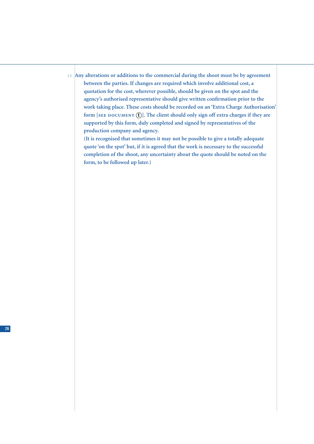**Any alterations or additions to the commercial during the shoot must be by agreement between the parties. If changes are required which involve additional cost, a quotation for the cost, wherever possible, should be given on the spot and the agency's authorised representative should give written confirmation prior to the work taking place. These costs should be recorded on an 'Extra Charge Authorisation'** form [SEE DOCUMENT (E)]. The client should only sign off extra charges if they are **supported by this form, duly completed and signed by representatives of the production company and agency.**

**(It is recognised that sometimes it may not be possible to give a totally adequate quote 'on the spot' but, if it is agreed that the work is necessary to the successful completion of the shoot, any uncertainty about the quote should be noted on the form, to be followed up later.)**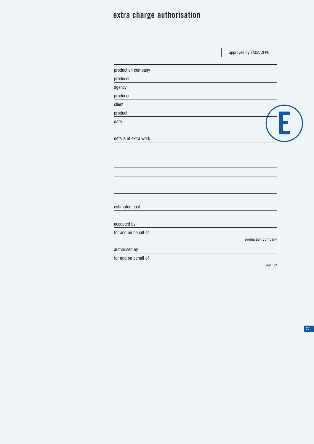### **extra charge authorisation**

|                       | approved by EACA/CFPE |  |
|-----------------------|-----------------------|--|
| production company    |                       |  |
| producer              |                       |  |
| agency                |                       |  |
| producer              |                       |  |
| client                |                       |  |
| product               |                       |  |
| date                  |                       |  |
| details of extra work |                       |  |
| estimated cost        |                       |  |
| accepted by           |                       |  |
| for and on behalf of  |                       |  |
|                       | production company    |  |
| authorised by         |                       |  |
| for and on behalf of  |                       |  |
|                       | agency                |  |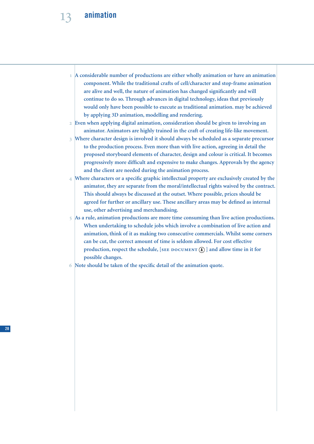### **animation**

 **A considerable number of productions are either wholly animation or have an animation component. While the traditional crafts of cell/character and stop-frame animation are alive and well, the nature of animation has changed significantly and will continue to do so. Through advances in digital technology, ideas that previously would only have been possible to execute as traditional animation. may be achieved by applying 3D animation, modelling and rendering.**

 **Even when applying digital animation, consideration should be given to involving an animator. Animators are highly trained in the craft of creating life-like movement.**

- **Where character design is involved it should always be scheduled as a separate precursor to the production process. Even more than with live action, agreeing in detail the proposed storyboard elements of character, design and colour is critical. It becomes progressively more difficult and expensive to make changes. Approvals by the agency and the client are needed during the animation process.**
- **Where characters or a specific graphic intellectual property are exclusively created by the animator, they are separate from the moral/intellectual rights waived by the contract. This should always be discussed at the outset. Where possible, prices should be agreed for further or ancillary use. These ancillary areas may be defined as internal use, other advertising and merchandising.**
- **As a rule, animation productions are more time consuming than live action productions. When undertaking to schedule jobs which involve a combination of live action and animation, think of it as making two consecutive commercials. Whilst some corners can be cut, the correct amount of time is seldom allowed. For cost effective** production, respect the schedule, [SEE DOCUMENT (A) ] and allow time in it for **possible changes.**
- **Note should be taken of the specific detail of the animation quote.**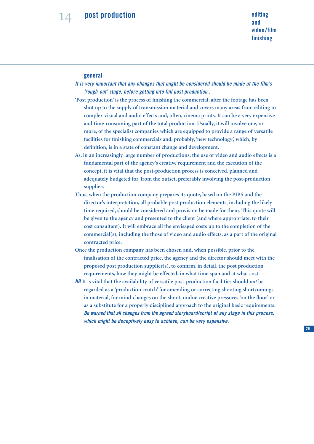### **general**

- *It is very important that any changes that might be considered should be made at the film's 'rough-cut' stage, before getting into full post production .*
- **'Post production' is the process of finishing the commercial, after the footage has been shot up to the supply of transmission material and covers many areas from editing to complex visual and audio effects and, often, cinema prints. It can be a very expensive and time-consuming part of the total production. Usually, it will involve one, or more, of the specialist companies which are equipped to provide a range of versatile facilities for finishing commercials and, probably, 'new technology', which, by definition, is in a state of constant change and development.**
- **As, in an increasingly large number of productions, the use of video and audio effects is a fundamental part of the agency's creative requirement and the execution of the concept, it is vital that the post-production process is conceived, planned and adequately budgeted for, from the outset, preferably involving the post-production suppliers.**
- **Thus, when the production company prepares its quote, based on the PIBS and the director's interpretation, all probable post production elements, including the likely time required, should be considered and provision be made for them. This quote will be given to the agency and presented to the client (and where appropriate, to their cost consultant). It will embrace all the envisaged costs up to the completion of the commercial(s), including the those of video and audio effects, as a part of the original contracted price.**
- **Once the production company has been chosen and, when possible, prior to the finalisation of the contracted price, the agency and the director should meet with the proposed post production supplier(s), to confirm, in detail, the post production requirements, how they might be effected, in what time span and at what cost.**
- *NB* **It is vital that the availability of versatile post-production facilities should** *not* **be regarded as a 'production crutch' for amending or correcting shooting shortcomings in material, for mind-changes on the shoot, undue creative pressures 'on the floor' or as a substitute for a properly disciplined approach to the original basic requirements.** *Be warned that all changes from the agreed storyboard/script at any stage in this process, which might be deceptively easy to achieve, can be very expensive.*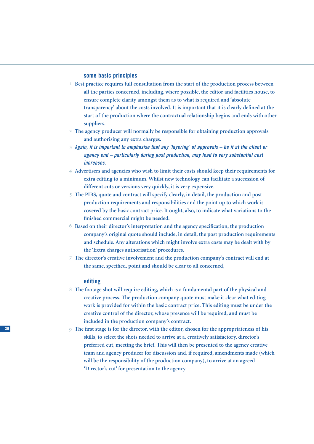### **some basic principles**

- **Best practice requires full consultation from the start of the production process between all the parties concerned, including, where possible, the editor and facilities house, to ensure complete clarity amongst them as to what is required and 'absolute transparency' about the costs involved. It is important that it is clearly defined at the start of the production where the contractual relationship begins and ends with other suppliers.**
- **The agency producer will normally be responsible for obtaining production approvals and authorising any extra charges.**
- *Again, it is important to emphasise that any 'layering' of approvals be it at the client or agency end – particularly during post production, may lead to very substantial cost increases.*
- **Advertisers and agencies who wish to limit their costs should keep their requirements for extra editing to a minimum. Whilst new technology can facilitate a succession of different cuts or versions very quickly, it is very expensive.**
- **The PIBS, quote and contract will specify clearly, in detail, the production and post production requirements and responsibilities and the point up to which work is covered by the basic contract price. It ought, also, to indicate what variations to the finished commercial might be needed.**
- **Based on their director's interpretation and the agency specification, the production company's original quote should include, in detail, the post production requirements and schedule. Any alterations which might involve extra costs may be dealt with by the 'Extra charges authorisation' procedures.**
- **The director's creative involvement and the production company's contract will end at the same, specified, point and should be clear to all concerned,**

### **editing**

- **The footage shot will require editing, which is a fundamental part of the physical and creative process. The production company quote must make it clear what editing work is provided for within the basic contract price. This editing must be under the creative control of the director, whose presence will be required, and must be included in the production company's contract.**
- **The first stage is for the director, with the editor, chosen for the appropriateness of his skills, to select the shots needed to arrive at a, creatively satisfactory, director's preferred cut, meeting the brief. This will then be presented to the agency creative team and agency producer for discussion and, if required, amendments made (which will be the responsibility of the production company), to arrive at an agreed 'Director's cut' for presentation to the agency.**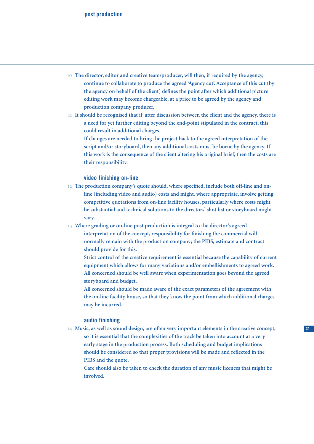- **The director, editor and creative team/producer, will then, if required by the agency, continue to collaborate to produce the agreed 'Agency cut'. Acceptance of this cut (by the agency on behalf of the client) defines the point after which additional picture editing work may become chargeable, at a price to be agreed by the agency and production company producer.**
- **It should be recognised that if, after discussion between the client and the agency, there is a need for yet further editing beyond the end-point stipulated in the contract, this could result in additional charges.**

**If changes are needed to bring the project back to the agreed interpretation of the script and/or storyboard, then any additional costs must be borne by the agency. If this work is the consequence of the client altering his original brief, then the costs are their responsibility.**

### **video finishing on-line**

- **The production company's quote should, where specified, include both off-line and online (including video and audio) costs and might, where appropriate, involve getting competitive quotations from on-line facility houses, particularly where costs might be substantial and technical solutions to the directors' shot list or storyboard might vary.**
- **Where grading or on-line post production is integral to the director's agreed interpretation of the concept, responsibility for finishing the commercial will**
	- **normally remain with the production company; the PIBS, estimate and contract should provide for this.**
		- **Strict control of the creative requirement is essential because the capability of current equipment which allows for many variations and/or embellishments to agreed work. All concerned should be well aware when experimentation goes beyond the agreed storyboard and budget.**
		- **All concerned should be made aware of the exact parameters of the agreement with the on-line facility house, so that they know the point from which additional charges may be incurred.**

### **audio finishing**

 **Music, as well as sound design, are often very important elements in the creative concept, so it is essential that the complexities of the track be taken into account at a very early stage in the production process. Both scheduling and budget implications should be considered so that proper provisions will be made and reflected in the PIBS and the quote.**

**Care should also be taken to check the duration of any music licences that might be involved.**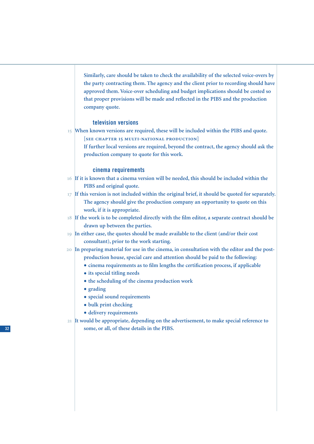**Similarly, care should be taken to check the availability of the selected voice-overs by the party contracting them. The agency and the client prior to recording should have approved them. Voice-over scheduling and budget implications should be costed so that proper provisions will be made and reflected in the PIBS and the production company quote.**

### **television versions**

- **When known versions are required, these will be included within the PIBS and quote.**
	- **SEE CHAPTER 15 MULTI-NATIONAL PRODUCTION**
	- **If further local versions are required, beyond the contract, the agency should ask the production company to quote for this work.**

### **cinema requirements**

- **If it is known that a cinema version will be needed, this should be included within the PIBS and original quote.**
- **If this version is not included within the original brief, it should be quoted for separately. The agency should give the production company an opportunity to quote on this work, if it is appropriate.**
- **If the work is to be completed directly with the film editor, a separate contract should be drawn up between the parties.**
- **In either case, the quotes should be made available to the client (and/or their cost consultant), prior to the work starting.**
- **In preparing material for use in the cinema, in consultation with the editor and the post**
	- **production house, special care and attention should be paid to the following:**
	- **• cinema requirements as to film lengths the certification process, if applicable**
	- **• its special titling needs**
	- **• the scheduling of the cinema production work**
	- **• grading**
	- **• special sound requirements**
	- **• bulk print checking**
	- **• delivery requirements**
- **It would be appropriate, depending on the advertisement, to make special reference to some, or all, of these details in the PIBS.**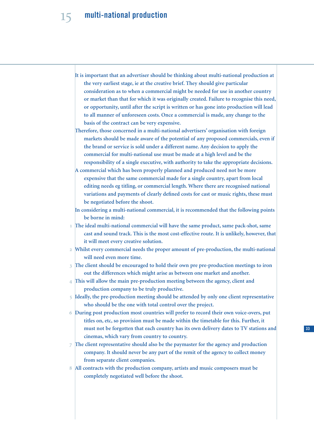### **multi-national production**

**It is important that an advertiser should be thinking about multi-national production at the very earliest stage, ie at the creative brief. They should give particular consideration as to when a commercial might be needed for use in another country or market than that for which it was originally created. Failure to recognise this need, or opportunity, until after the script is written or has gone into production will lead to all manner of unforeseen costs. Once a commercial is made, any change to the basis of the contract can be very expensive.**

**Therefore, those concerned in a multi-national advertisers' organisation with foreign markets should be made aware of the potential of any proposed commercials, even if the brand or service is sold under a different name. Any decision to apply the commercial for multi-national use must be made at a high level and be the responsibility of a single executive, with authority to take the appropriate decisions.**

**A commercial which has been properly planned and produced need not be more expensive that the same commercial made for a single country, apart from local editing needs eg titling, or commercial length. Where there are recognised national variations and payments of clearly defined costs for cast or music rights, these must be negotiated before the shoot.**

**In considering a multi-national commercial, it is recommended that the following points be borne in mind:**

- **The ideal multi-national commercial will have the same product, same pack-shot, same cast and sound track. This is the most cost-effective route. It is unlikely, however, that it will meet every creative solution.**
- **Whilst every commercial needs the proper amount of pre-production, the multi-national will need even more time.**
- **The client should be encouraged to hold their own pre pre-production meetings to iron out the differences which might arise as between one market and another.**
- **This will allow the main pre-production meeting between the agency, client and production company to be truly productive.**
- **Ideally, the pre-production meeting should be attended by only one client representative who should be the one with total control over the project.**
- **During post production most countries will prefer to record their own voice-overs, put titles on, etc, so provision must be made within the timetable for this. Further, it must not be forgotten that each country has its own delivery dates to TV stations and cinemas, which vary from country to country.**
- **The client representative should also be the paymaster for the agency and production company. It should never be any part of the remit of the agency to collect money from separate client companies.**
- **All contracts with the production company, artists and music composers must be completely negotiated well before the shoot.**

**33**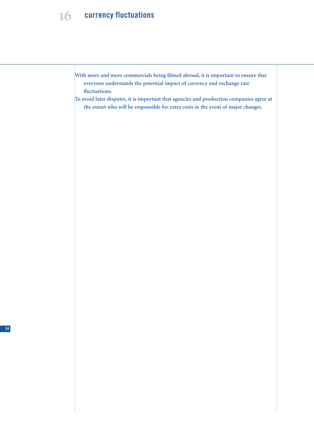### 16 **currency fluctuations**

- **With more and more commercials being filmed abroad, it is important to ensure that everyone understands the potential impact of currency and exchange rate fluctuations.**
- **To avoid later disputes, it is important that agencies and production companies agree at the outset who will be responsible for extra costs in the event of major changes.**